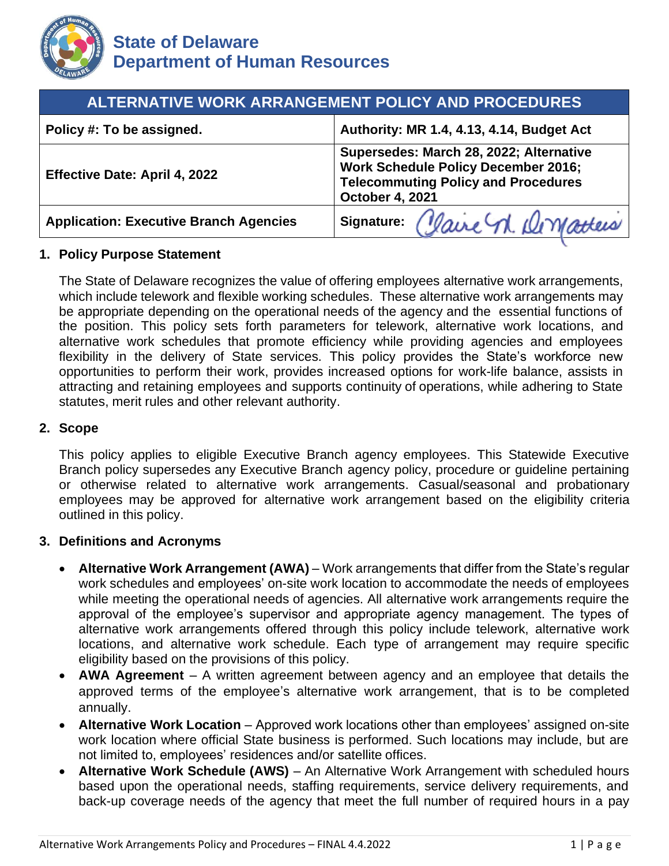

| <b>ALTERNATIVE WORK ARRANGEMENT POLICY AND PROCEDURES</b>                                                                                                     |  |
|---------------------------------------------------------------------------------------------------------------------------------------------------------------|--|
| Authority: MR 1.4, 4.13, 4.14, Budget Act                                                                                                                     |  |
| Supersedes: March 28, 2022; Alternative<br><b>Work Schedule Policy December 2016;</b><br><b>Telecommuting Policy and Procedures</b><br><b>October 4, 2021</b> |  |
| signature: Claire n. Dematteis                                                                                                                                |  |
|                                                                                                                                                               |  |

### **1. Policy Purpose Statement**

 flexibility in the delivery of State services. This policy provides the State's workforce new The State of Delaware recognizes the value of offering employees alternative work arrangements, which include telework and flexible working schedules. These alternative work arrangements may be appropriate depending on the operational needs of the agency and the essential functions of the position. This policy sets forth parameters for telework, alternative work locations, and alternative work schedules that promote efficiency while providing agencies and employees opportunities to perform their work, provides increased options for work-life balance, assists in attracting and retaining employees and supports continuity of operations, while adhering to State statutes, merit rules and other relevant authority.

#### **2. Scope**

This policy applies to eligible Executive Branch agency employees. This Statewide Executive Branch policy supersedes any Executive Branch agency policy, procedure or guideline pertaining or otherwise related to alternative work arrangements. Casual/seasonal and probationary employees may be approved for alternative work arrangement based on the eligibility criteria outlined in this policy.

### **3. Definitions and Acronyms**

- • **Alternative Work Arrangement (AWA)**  Work arrangements that differ from the State's regular approval of the employee's supervisor and appropriate agency management. The types of work schedules and employees' on-site work location to accommodate the needs of employees while meeting the operational needs of agencies. All alternative work arrangements require the alternative work arrangements offered through this policy include telework, alternative work locations, and alternative work schedule. Each type of arrangement may require specific eligibility based on the provisions of this policy.
- **AWA Agreement**  A written agreement between agency and an employee that details the approved terms of the employee's alternative work arrangement, that is to be completed annually.
- **Alternative Work Location**  Approved work locations other than employees' assigned on-site work location where official State business is performed. Such locations may include, but are not limited to, employees' residences and/or satellite offices.
- **Alternative Work Schedule (AWS)**  An Alternative Work Arrangement with scheduled hours based upon the operational needs, staffing requirements, service delivery requirements, and back-up coverage needs of the agency that meet the full number of required hours in a pay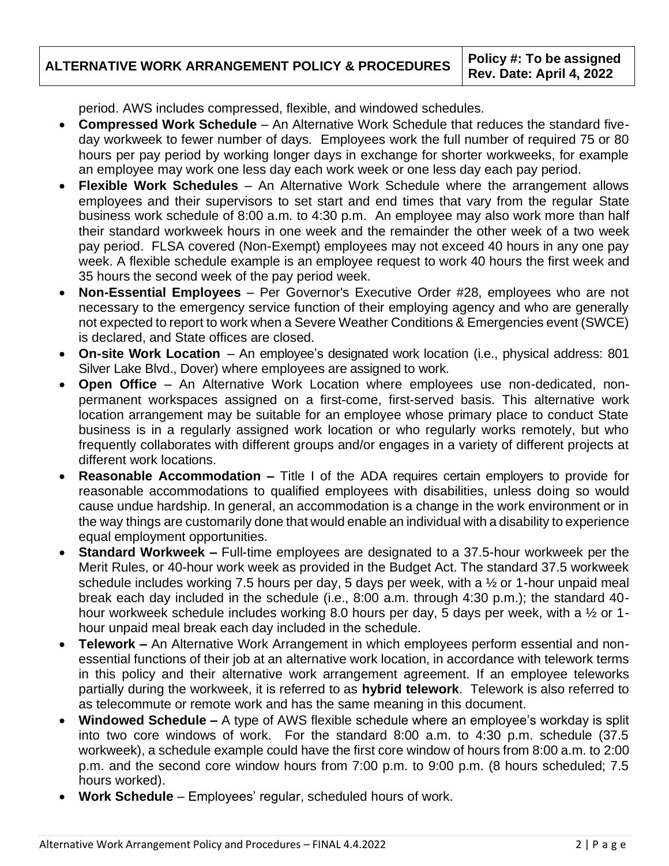**ALTERNATIVE WORK ARRANGEMENT POLICY & PROCEDURES Policy #: To be assigned Rev. Date: April 4, 2022** 

period. AWS includes compressed, flexible, and windowed schedules.

- **Compressed Work Schedule**  An Alternative Work Schedule that reduces the standard fiveday workweek to fewer number of days*.* Employees work the full number of required 75 or 80 hours per pay period by working longer days in exchange for shorter workweeks, for example an employee may work one less day each work week or one less day each pay period.
- **Flexible Work Schedules** An Alternative Work Schedule where the arrangement allows employees and their supervisors to set start and end times that vary from the regular State business work schedule of 8:00 a.m. to 4:30 p.m. An employee may also work more than half their standard workweek hours in one week and the remainder the other week of a two week pay period. FLSA covered (Non-Exempt) employees may not exceed 40 hours in any one pay week. A flexible schedule example is an employee request to work 40 hours the first week and 35 hours the second week of the pay period week.
- **Non-Essential Employees**  Per Governor's Executive Order #28, employees who are not necessary to the emergency service function of their employing agency and who are generally not expected to report to work when a Severe Weather Conditions & Emergencies event (SWCE) is declared, and State offices are closed.
- **On-site Work Location**  An employee's designated work location (i.e., physical address: 801 Silver Lake Blvd., Dover) where employees are assigned to work.
- **Open Office**  An Alternative Work Location where employees use non-dedicated, nonpermanent workspaces assigned on a first-come, first-served basis. This alternative work location arrangement may be suitable for an employee whose primary place to conduct State business is in a regularly assigned work location or who regularly works remotely, but who frequently collaborates with different groups and/or engages in a variety of different projects at different work locations.
- **Reasonable Accommodation –** Title I of the ADA requires certain employers to provide for reasonable accommodations to qualified employees with disabilities, unless doing so would cause undue hardship. In general, an accommodation is a change in the work environment or in the way things are customarily done that would enable an individual with a disability to experience equal employment opportunities.
- **Standard Workweek –** Full-time employees are designated to a 37.5-hour workweek per the Merit Rules, or 40-hour work week as provided in the Budget Act. The standard 37.5 workweek schedule includes working 7.5 hours per day, 5 days per week, with a ½ or 1-hour unpaid meal break each day included in the schedule (i.e., 8:00 a.m. through 4:30 p.m.); the standard 40 hour workweek schedule includes working 8.0 hours per day, 5 days per week, with a 1/2 or 1 hour unpaid meal break each day included in the schedule.
- **Telework –** An Alternative Work Arrangement in which employees perform essential and nonessential functions of their job at an alternative work location, in accordance with telework terms in this policy and their alternative work arrangement agreement. If an employee teleworks partially during the workweek, it is referred to as **hybrid telework**. Telework is also referred to as telecommute or remote work and has the same meaning in this document.
- • **Windowed Schedule –** A type of AWS flexible schedule where an employee's workday is split into two core windows of work. For the standard 8:00 a.m. to 4:30 p.m. schedule (37.5 workweek), a schedule example could have the first core window of hours from 8:00 a.m. to 2:00 p.m. and the second core window hours from 7:00 p.m. to 9:00 p.m. (8 hours scheduled; 7.5 hours worked).
- **Work Schedule**  Employees' regular, scheduled hours of work.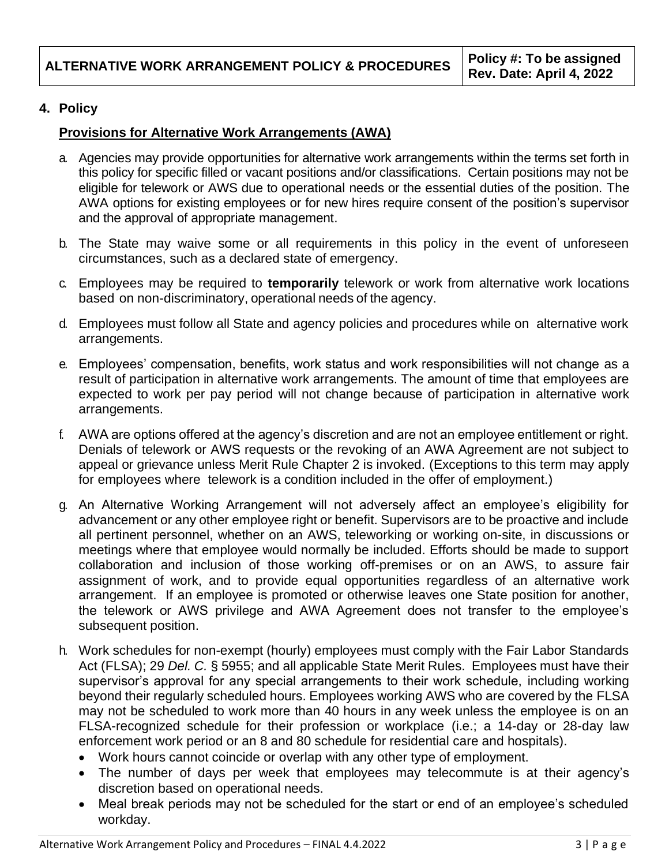# **4. Policy**

### **Provisions for Alternative Work Arrangements (AWA)**

- a. Agencies may provide opportunities for alternative work arrangements within the terms set forth in this policy for specific filled or vacant positions and/or classifications. Certain positions may not be eligible for telework or AWS due to operational needs or the essential duties of the position. The AWA options for existing employees or for new hires require consent of the position's supervisor and the approval of appropriate management.
- b. The State may waive some or all requirements in this policy in the event of unforeseen circumstances, such as a declared state of emergency.
- c. Employees may be required to **temporarily** telework or work from alternative work locations based on non-discriminatory, operational needs of the agency.
- d. Employees must follow all State and agency policies and procedures while on alternative work arrangements.
- e. Employees' compensation, benefits, work status and work responsibilities will not change as a result of participation in alternative work arrangements. The amount of time that employees are expected to work per pay period will not change because of participation in alternative work arrangements.
- f. AWA are options offered at the agency's discretion and are not an employee entitlement or right. Denials of telework or AWS requests or the revoking of an AWA Agreement are not subject to appeal or grievance unless Merit Rule Chapter 2 is invoked. (Exceptions to this term may apply for employees where telework is a condition included in the offer of employment.)
- g. An Alternative Working Arrangement will not adversely affect an employee's eligibility for the telework or AWS privilege and AWA Agreement does not transfer to the employee's advancement or any other employee right or benefit. Supervisors are to be proactive and include all pertinent personnel, whether on an AWS, teleworking or working on-site, in discussions or meetings where that employee would normally be included. Efforts should be made to support collaboration and inclusion of those working off-premises or on an AWS, to assure fair assignment of work, and to provide equal opportunities regardless of an alternative work arrangement. If an employee is promoted or otherwise leaves one State position for another, subsequent position.
- supervisor's approval for any special arrangements to their work schedule, including working h. Work schedules for non-exempt (hourly) employees must comply with the Fair Labor Standards Act (FLSA); 29 *Del. C.* § 5955; and all applicable State Merit Rules. Employees must have their beyond their regularly scheduled hours. Employees working AWS who are covered by the FLSA may not be scheduled to work more than 40 hours in any week unless the employee is on an FLSA-recognized schedule for their profession or workplace (i.e.; a 14-day or 28-day law enforcement work period or an 8 and 80 schedule for residential care and hospitals).
	- Work hours cannot coincide or overlap with any other type of employment.
	- The number of days per week that employees may telecommute is at their agency's discretion based on operational needs.
	- • Meal break periods may not be scheduled for the start or end of an employee's scheduled workday.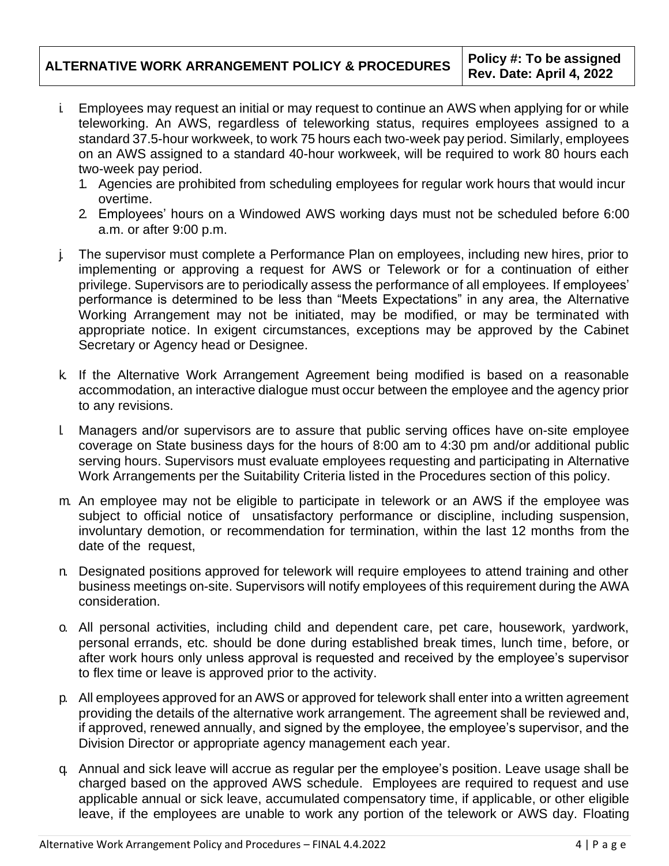- i. Employees may request an initial or may request to continue an AWS when applying for or while teleworking. An AWS, regardless of teleworking status, requires employees assigned to a standard 37.5-hour workweek, to work 75 hours each two-week pay period. Similarly, employees on an AWS assigned to a standard 40-hour workweek, will be required to work 80 hours each two-week pay period.
	- 1. Agencies are prohibited from scheduling employees for regular work hours that would incur overtime.
	- 2. Employees' hours on a Windowed AWS working days must not be scheduled before 6:00 a.m. or after 9:00 p.m.
- performance is determined to be less than "Meets Expectations" in any area, the Alternative j. The supervisor must complete a Performance Plan on employees, including new hires, prior to implementing or approving a request for AWS or Telework or for a continuation of either privilege. Supervisors are to periodically assess the performance of all employees. If employees' Working Arrangement may not be initiated, may be modified, or may be terminated with appropriate notice. In exigent circumstances, exceptions may be approved by the Cabinet Secretary or Agency head or Designee.
- k. If the Alternative Work Arrangement Agreement being modified is based on a reasonable accommodation, an interactive dialogue must occur between the employee and the agency prior to any revisions.
- l. Managers and/or supervisors are to assure that public serving offices have on-site employee coverage on State business days for the hours of 8:00 am to 4:30 pm and/or additional public serving hours. Supervisors must evaluate employees requesting and participating in Alternative Work Arrangements per the Suitability Criteria listed in the Procedures section of this policy.
- m. An employee may not be eligible to participate in telework or an AWS if the employee was subject to official notice of unsatisfactory performance or discipline, including suspension, involuntary demotion, or recommendation for termination, within the last 12 months from the date of the request,
- n. Designated positions approved for telework will require employees to attend training and other business meetings on-site. Supervisors will notify employees of this requirement during the AWA consideration.
- after work hours only unless approval is requested and received by the employee's supervisor o. All personal activities, including child and dependent care, pet care, housework, yardwork, personal errands, etc. should be done during established break times, lunch time, before, or to flex time or leave is approved prior to the activity.
- if approved, renewed annually, and signed by the employee, the employee's supervisor, and the p. All employees approved for an AWS or approved for telework shall enter into a written agreement providing the details of the alternative work arrangement. The agreement shall be reviewed and, Division Director or appropriate agency management each year.
- q. Annual and sick leave will accrue as regular per the employee's position. Leave usage shall be charged based on the approved AWS schedule. Employees are required to request and use applicable annual or sick leave, accumulated compensatory time, if applicable, or other eligible leave, if the employees are unable to work any portion of the telework or AWS day. Floating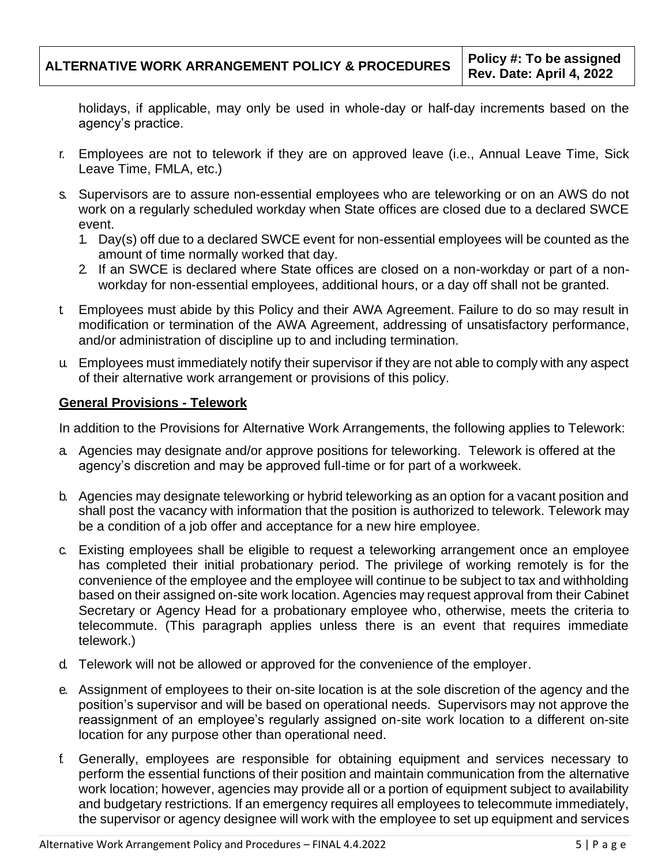holidays, if applicable, may only be used in whole-day or half-day increments based on the agency's practice.

- r. Employees are not to telework if they are on approved leave (i.e., Annual Leave Time, Sick Leave Time, FMLA, etc.)
- s. Supervisors are to assure non-essential employees who are teleworking or on an AWS do not work on a regularly scheduled workday when State offices are closed due to a declared SWCE event.
	- 1. Day(s) off due to a declared SWCE event for non-essential employees will be counted as the amount of time normally worked that day.
	- 2. If an SWCE is declared where State offices are closed on a non-workday or part of a nonworkday for non-essential employees, additional hours, or a day off shall not be granted.
- t. Employees must abide by this Policy and their AWA Agreement. Failure to do so may result in modification or termination of the AWA Agreement, addressing of unsatisfactory performance, and/or administration of discipline up to and including termination*.*
- u. Employees must immediately notify their supervisor if they are not able to comply with any aspect of their alternative work arrangement or provisions of this policy.

### **General Provisions - Telework**

In addition to the Provisions for Alternative Work Arrangements, the following applies to Telework:

- a. Agencies may designate and/or approve positions for teleworking. Telework is offered at the agency's discretion and may be approved full-time or for part of a workweek.
- b. Agencies may designate teleworking or hybrid teleworking as an option for a vacant position and shall post the vacancy with information that the position is authorized to telework. Telework may be a condition of a job offer and acceptance for a new hire employee.
- c. Existing employees shall be eligible to request a teleworking arrangement once an employee has completed their initial probationary period. The privilege of working remotely is for the convenience of the employee and the employee will continue to be subject to tax and withholding based on their assigned on-site work location. Agencies may request approval from their Cabinet Secretary or Agency Head for a probationary employee who, otherwise, meets the criteria to telecommute. (This paragraph applies unless there is an event that requires immediate telework.)
- d. Telework will not be allowed or approved for the convenience of the employer.
- e. Assignment of employees to their on-site location is at the sole discretion of the agency and the position's supervisor and will be based on operational needs. Supervisors may not approve the reassignment of an employee's regularly assigned on-site work location to a different on-site location for any purpose other than operational need.
- f. Generally, employees are responsible for obtaining equipment and services necessary to perform the essential functions of their position and maintain communication from the alternative work location; however, agencies may provide all or a portion of equipment subject to availability and budgetary restrictions. If an emergency requires all employees to telecommute immediately, the supervisor or agency designee will work with the employee to set up equipment and services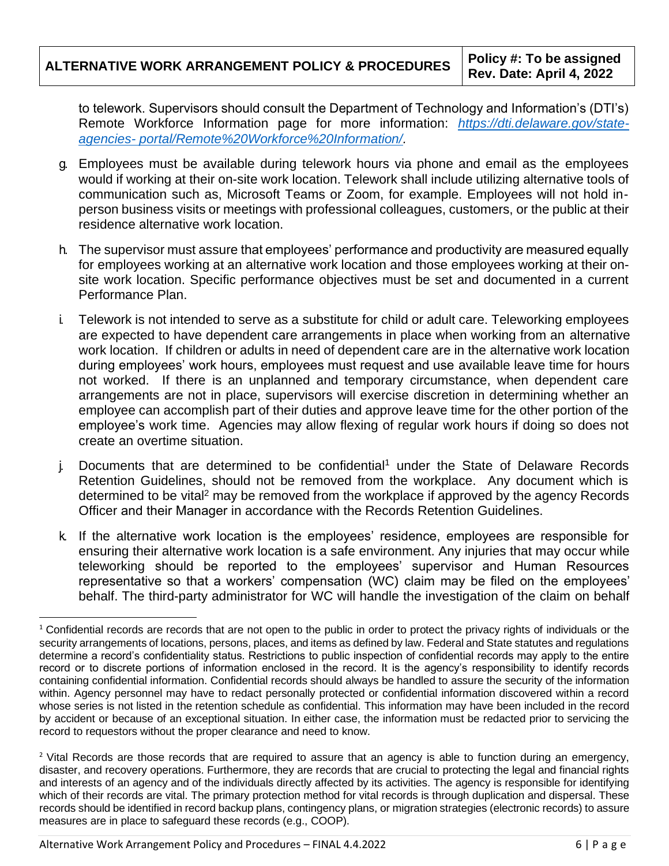| ALTERNATIVE WORK ARRANGEMENT POLICY & PROCEDURES Rev. Date: April 4, 2022 | Policy #: To be assigned |
|---------------------------------------------------------------------------|--------------------------|
|                                                                           |                          |

 to telework. Supervisors should consult the Department of Technology and Information's (DTI's) Remote Workforce Information page for more information: *[https://dti.delaware.gov/state](https://dti.delaware.gov/state-agencies-%20portal/Remote%20Workforce%20Information/)agencies- [portal/Remote%20Workforce%20Information/.](https://dti.delaware.gov/state-agencies-%20portal/Remote%20Workforce%20Information/)* 

- g. Employees must be available during telework hours via phone and email as the employees would if working at their on-site work location. Telework shall include utilizing alternative tools of communication such as, Microsoft Teams or Zoom, for example. Employees will not hold inperson business visits or meetings with professional colleagues, customers, or the public at their residence alternative work location.
- h. The supervisor must assure that employees' performance and productivity are measured equally for employees working at an alternative work location and those employees working at their onsite work location. Specific performance objectives must be set and documented in a current Performance Plan.
- during employees' work hours, employees must request and use available leave time for hours i. Telework is not intended to serve as a substitute for child or adult care. Teleworking employees are expected to have dependent care arrangements in place when working from an alternative work location. If children or adults in need of dependent care are in the alternative work location not worked. If there is an unplanned and temporary circumstance, when dependent care arrangements are not in place, supervisors will exercise discretion in determining whether an employee can accomplish part of their duties and approve leave time for the other portion of the employee's work time. Agencies may allow flexing of regular work hours if doing so does not create an overtime situation.
- j. Documents that are determined to be confidential<sup>1</sup> under the State of Delaware Records Retention Guidelines, should not be removed from the workplace. Any document which is determined to be vital<sup>2</sup> may be removed from the workplace if approved by the agency Records Officer and their Manager in accordance with the Records Retention Guidelines.
- k. If the alternative work location is the employees' residence, employees are responsible for teleworking should be reported to the employees' supervisor and Human Resources representative so that a workers' compensation (WC) claim may be filed on the employees' ensuring their alternative work location is a safe environment. Any injuries that may occur while behalf. The third-party administrator for WC will handle the investigation of the claim on behalf

 determine a record's confidentiality status. Restrictions to public inspection of confidential records may apply to the entire record or to discrete portions of information enclosed in the record. It is the agency's responsibility to identify records <sup>1</sup> Confidential records are records that are not open to the public in order to protect the privacy rights of individuals or the security arrangements of locations, persons, places, and items as defined by law. Federal and State statutes and regulations containing confidential information. Confidential records should always be handled to assure the security of the information within. Agency personnel may have to redact personally protected or confidential information discovered within a record whose series is not listed in the retention schedule as confidential. This information may have been included in the record by accident or because of an exceptional situation. In either case, the information must be redacted prior to servicing the record to requestors without the proper clearance and need to know.

<sup>&</sup>lt;sup>2</sup> Vital Records are those records that are required to assure that an agency is able to function during an emergency, disaster, and recovery operations. Furthermore, they are records that are crucial to protecting the legal and financial rights and interests of an agency and of the individuals directly affected by its activities. The agency is responsible for identifying which of their records are vital. The primary protection method for vital records is through duplication and dispersal. These records should be identified in record backup plans, contingency plans, or migration strategies (electronic records) to assure measures are in place to safeguard these records (e.g., COOP).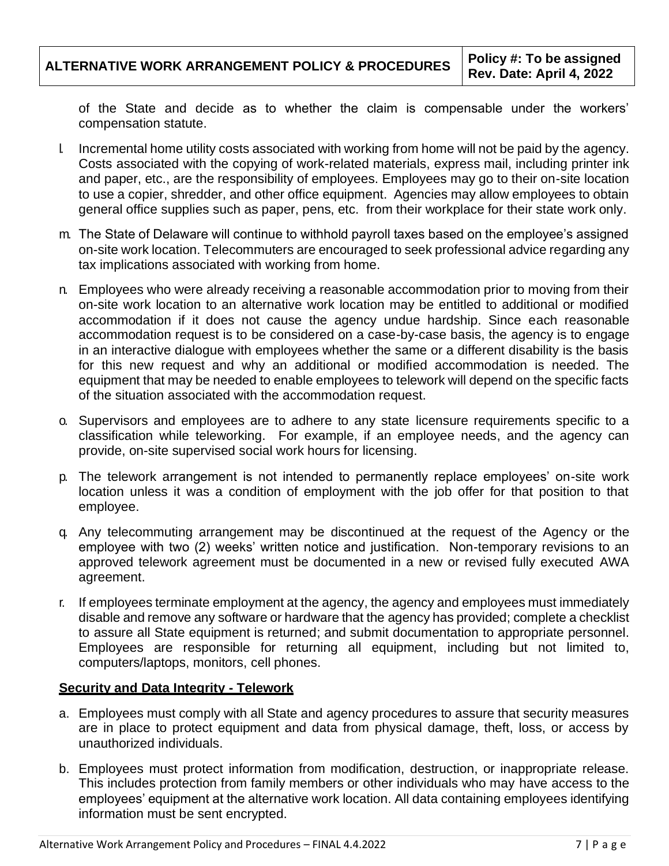of the State and decide as to whether the claim is compensable under the workers' compensation statute.

- l. Incremental home utility costs associated with working from home will not be paid by the agency. Costs associated with the copying of work-related materials, express mail, including printer ink and paper, etc., are the responsibility of employees. Employees may go to their on-site location to use a copier, shredder, and other office equipment. Agencies may allow employees to obtain general office supplies such as paper, pens, etc. from their workplace for their state work only.
- m. The State of Delaware will continue to withhold payroll taxes based on the employee's assigned on-site work location. Telecommuters are encouraged to seek professional advice regarding any tax implications associated with working from home.
- n. Employees who were already receiving a reasonable accommodation prior to moving from their on-site work location to an alternative work location may be entitled to additional or modified accommodation if it does not cause the agency undue hardship. Since each reasonable accommodation request is to be considered on a case-by-case basis, the agency is to engage in an interactive dialogue with employees whether the same or a different disability is the basis for this new request and why an additional or modified accommodation is needed. The equipment that may be needed to enable employees to telework will depend on the specific facts of the situation associated with the accommodation request.
- o. Supervisors and employees are to adhere to any state licensure requirements specific to a classification while teleworking. For example, if an employee needs, and the agency can provide, on-site supervised social work hours for licensing.
- p. The telework arrangement is not intended to permanently replace employees' on-site work location unless it was a condition of employment with the job offer for that position to that employee.
- employee with two (2) weeks' written notice and justification. Non-temporary revisions to an q. Any telecommuting arrangement may be discontinued at the request of the Agency or the approved telework agreement must be documented in a new or revised fully executed AWA agreement.
- r. If employees terminate employment at the agency, the agency and employees must immediately disable and remove any software or hardware that the agency has provided; complete a checklist to assure all State equipment is returned; and submit documentation to appropriate personnel. Employees are responsible for returning all equipment, including but not limited to, computers/laptops, monitors, cell phones.

# **Security and Data Integrity - Telework**

- a. Employees must comply with all State and agency procedures to assure that security measures are in place to protect equipment and data from physical damage, theft, loss, or access by unauthorized individuals.
- b. Employees must protect information from modification, destruction, or inappropriate release. This includes protection from family members or other individuals who may have access to the employees' equipment at the alternative work location. All data containing employees identifying information must be sent encrypted.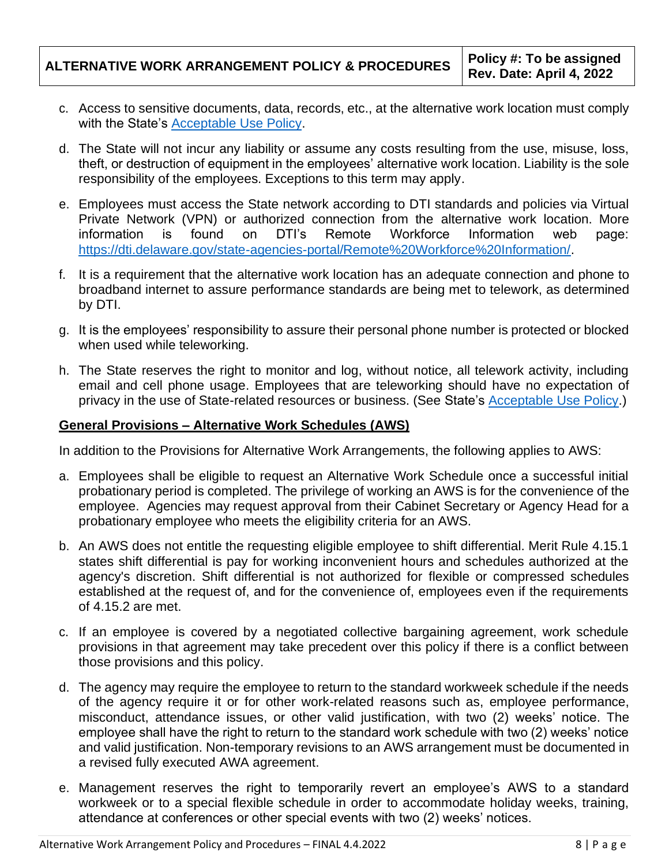- c. Access to sensitive documents, data, records, etc., at the alternative work location must comply with the State's [Acceptable Use Policy.](https://webfiles.dti.delaware.gov/pdfs/pp/AcceptableUsePolicy.pdf)
- theft, or destruction of equipment in the employees' alternative work location. Liability is the sole d. The State will not incur any liability or assume any costs resulting from the use, misuse, loss, responsibility of the employees. Exceptions to this term may apply.
- found e. Employees must access the State network according to DTI standards and policies via Virtual Private Network (VPN) or authorized connection from the alternative work location. More information is found on DTI's Remote Workforce Information web page[:](https://dti.delaware.gov/state-agencies-portal/Remote%20Workforce%20Information/) [https://dti.delaware.gov/state-agencies-portal/Remote%20Workforce%20Information/.](https://dti.delaware.gov/state-agencies-portal/Remote%20Workforce%20Information/)
- f. It is a requirement that the alternative work location has an adequate connection and phone to broadband internet to assure performance standards are being met to telework, as determined by DTI.
- g. It is the employees' responsibility to assure their personal phone number is protected or blocked when used while teleworking.
- h. The State reserves the right to monitor and log, without notice, all telework activity, including email and cell phone usage. Employees that are teleworking should have no expectation of privacy in the use of State-related resources or business. (See State's [Acceptable Use Policy.](https://webfiles.dti.delaware.gov/pdfs/pp/AcceptableUsePolicy.pdf))

### **General Provisions – Alternative Work Schedules (AWS)**

In addition to the Provisions for Alternative Work Arrangements, the following applies to AWS:

- a. Employees shall be eligible to request an Alternative Work Schedule once a successful initial probationary period is completed. The privilege of working an AWS is for the convenience of the employee. Agencies may request approval from their Cabinet Secretary or Agency Head for a probationary employee who meets the eligibility criteria for an AWS.
- b. An AWS does not entitle the requesting eligible employee to shift differential. Merit Rule 4.15.1 states shift differential is pay for working inconvenient hours and schedules authorized at the agency's discretion. Shift differential is not authorized for flexible or compressed schedules established at the request of, and for the convenience of, employees even if the requirements of 4.15.2 are met.
- c. If an employee is covered by a negotiated collective bargaining agreement, work schedule provisions in that agreement may take precedent over this policy if there is a conflict between those provisions and this policy.
- employee shall have the right to return to the standard work schedule with two (2) weeks' notice d. The agency may require the employee to return to the standard workweek schedule if the needs of the agency require it or for other work-related reasons such as, employee performance, misconduct, attendance issues, or other valid justification, with two (2) weeks' notice. The and valid justification. Non-temporary revisions to an AWS arrangement must be documented in a revised fully executed AWA agreement.
- e. Management reserves the right to temporarily revert an employee's AWS to a standard workweek or to a special flexible schedule in order to accommodate holiday weeks, training, attendance at conferences or other special events with two (2) weeks' notices.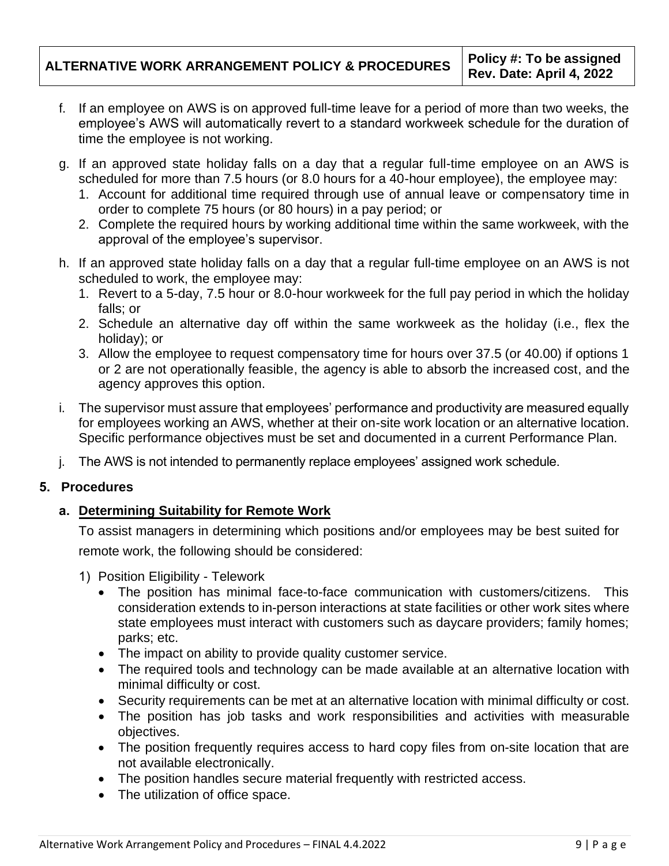- employee's AWS will automatically revert to a standard workweek schedule for the duration of f. If an employee on AWS is on approved full-time leave for a period of more than two weeks, the time the employee is not working.
- g. If an approved state holiday falls on a day that a regular full-time employee on an AWS is scheduled for more than 7.5 hours (or 8.0 hours for a 40-hour employee), the employee may:
	- 1. Account for additional time required through use of annual leave or compensatory time in order to complete 75 hours (or 80 hours) in a pay period; or
	- 2. Complete the required hours by working additional time within the same workweek, with the approval of the employee's supervisor.
- h. If an approved state holiday falls on a day that a regular full-time employee on an AWS is not scheduled to work, the employee may:
	- 1. Revert to a 5-day, 7.5 hour or 8.0-hour workweek for the full pay period in which the holiday falls; or
	- 2. Schedule an alternative day off within the same workweek as the holiday (i.e., flex the holiday); or
	- 3. Allow the employee to request compensatory time for hours over 37.5 (or 40.00) if options 1 or 2 are not operationally feasible, the agency is able to absorb the increased cost, and the agency approves this option.
- i. The supervisor must assure that employees' performance and productivity are measured equally for employees working an AWS, whether at their on-site work location or an alternative location. Specific performance objectives must be set and documented in a current Performance Plan.
- j. The AWS is not intended to permanently replace employees' assigned work schedule.

# **5. Procedures**

# **a. Determining Suitability for Remote Work**

To assist managers in determining which positions and/or employees may be best suited for remote work, the following should be considered:

- 1) Position Eligibility Telework
	- The position has minimal face-to-face communication with customers/citizens. This consideration extends to in-person interactions at state facilities or other work sites where state employees must interact with customers such as daycare providers; family homes; parks; etc.
	- The impact on ability to provide quality customer service.
	- The required tools and technology can be made available at an alternative location with minimal difficulty or cost.
	- Security requirements can be met at an alternative location with minimal difficulty or cost.
	- The position has job tasks and work responsibilities and activities with measurable objectives.
	- The position frequently requires access to hard copy files from on-site location that are not available electronically.
	- The position handles secure material frequently with restricted access.
	- The utilization of office space.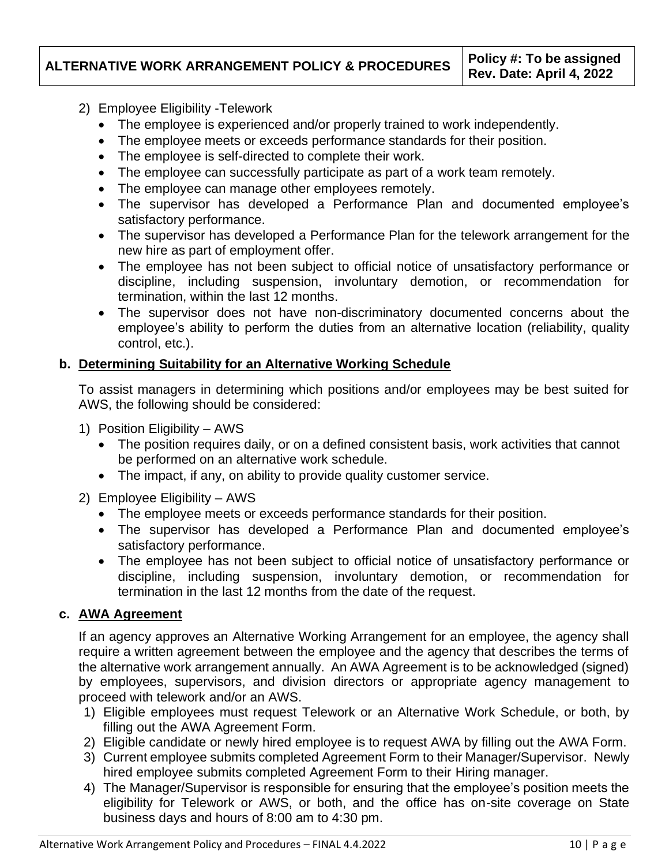- 2) Employee Eligibility -Telework
	- The employee is experienced and/or properly trained to work independently.
	- The employee meets or exceeds performance standards for their position.
	- The employee is self-directed to complete their work.
	- The employee can successfully participate as part of a work team remotely.
	- The employee can manage other employees remotely.
	- The supervisor has developed a Performance Plan and documented employee's satisfactory performance.
	- The supervisor has developed a Performance Plan for the telework arrangement for the new hire as part of employment offer.
	- The employee has not been subject to official notice of unsatisfactory performance or discipline, including suspension, involuntary demotion, or recommendation for termination, within the last 12 months.
	- employee's ability to perform the duties from an alternative location (reliability, quality • The supervisor does not have non-discriminatory documented concerns about the control, etc.).

# **b. Determining Suitability for an Alternative Working Schedule**

To assist managers in determining which positions and/or employees may be best suited for AWS, the following should be considered:

- 1) Position Eligibility AWS
	- The position requires daily, or on a defined consistent basis, work activities that cannot be performed on an alternative work schedule.
	- The impact, if any, on ability to provide quality customer service.
- 2) Employee Eligibility AWS
	- The employee meets or exceeds performance standards for their position.
	- The supervisor has developed a Performance Plan and documented employee's satisfactory performance.
	- The employee has not been subject to official notice of unsatisfactory performance or discipline, including suspension, involuntary demotion, or recommendation for termination in the last 12 months from the date of the request.

# **c. AWA Agreement**

If an agency approves an Alternative Working Arrangement for an employee, the agency shall require a written agreement between the employee and the agency that describes the terms of the alternative work arrangement annually. An AWA Agreement is to be acknowledged (signed) by employees, supervisors, and division directors or appropriate agency management to proceed with telework and/or an AWS.

- 1) Eligible employees must request Telework or an Alternative Work Schedule, or both, by filling out the AWA Agreement Form.
- 2) Eligible candidate or newly hired employee is to request AWA by filling out the AWA Form.
- 3) Current employee submits completed Agreement Form to their Manager/Supervisor. Newly hired employee submits completed Agreement Form to their Hiring manager.
- 4) The Manager/Supervisor is responsible for ensuring that the employee's position meets the eligibility for Telework or AWS, or both, and the office has on-site coverage on State business days and hours of 8:00 am to 4:30 pm.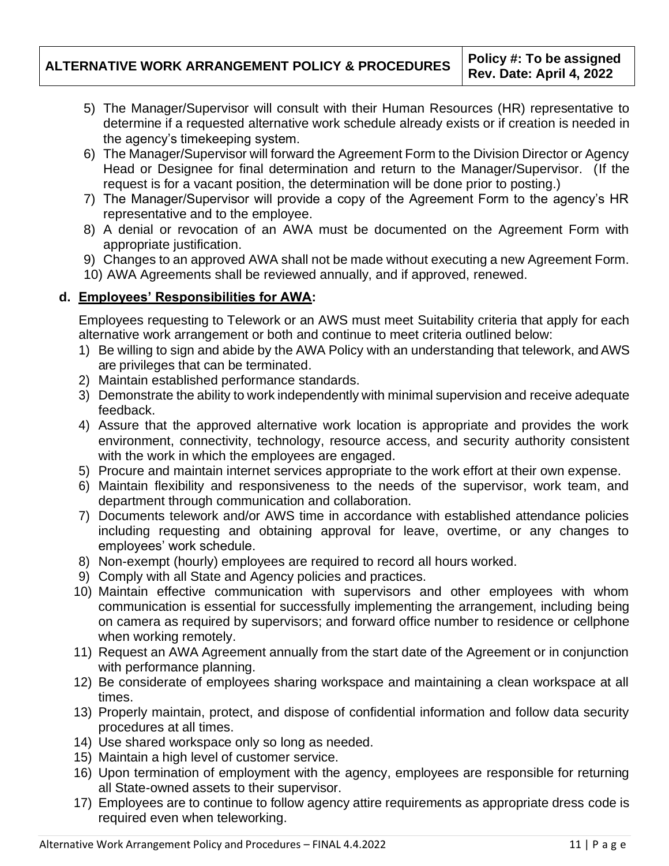- 5) The Manager/Supervisor will consult with their Human Resources (HR) representative to determine if a requested alternative work schedule already exists or if creation is needed in the agency's timekeeping system.
- 6) The Manager/Supervisor will forward the Agreement Form to the Division Director or Agency Head or Designee for final determination and return to the Manager/Supervisor. (If the request is for a vacant position, the determination will be done prior to posting.)
- 7) The Manager/Supervisor will provide a copy of the Agreement Form to the agency's HR representative and to the employee.
- 8) A denial or revocation of an AWA must be documented on the Agreement Form with appropriate justification.
- 9) Changes to an approved AWA shall not be made without executing a new Agreement Form.
- 10) AWA Agreements shall be reviewed annually, and if approved, renewed.

# **d. Employees' Responsibilities for AWA:**

Employees requesting to Telework or an AWS must meet Suitability criteria that apply for each alternative work arrangement or both and continue to meet criteria outlined below:

- 1) Be willing to sign and abide by the AWA Policy with an understanding that telework, and AWS are privileges that can be terminated.
- 2) Maintain established performance standards.
- 3) Demonstrate the ability to work independently with minimal supervision and receive adequate feedback.
- 4) Assure that the approved alternative work location is appropriate and provides the work environment, connectivity, technology, resource access, and security authority consistent with the work in which the employees are engaged.
- 5) Procure and maintain internet services appropriate to the work effort at their own expense.
- 6) Maintain flexibility and responsiveness to the needs of the supervisor, work team, and department through communication and collaboration.
- 7) Documents telework and/or AWS time in accordance with established attendance policies including requesting and obtaining approval for leave, overtime, or any changes to employees' work schedule.
- 8) Non-exempt (hourly) employees are required to record all hours worked.
- 9) Comply with all State and Agency policies and practices.
- 10) Maintain effective communication with supervisors and other employees with whom communication is essential for successfully implementing the arrangement, including being on camera as required by supervisors; and forward office number to residence or cellphone when working remotely.
- 11) Request an AWA Agreement annually from the start date of the Agreement or in conjunction with performance planning.
- 12) Be considerate of employees sharing workspace and maintaining a clean workspace at all times.
- 13) Properly maintain, protect, and dispose of confidential information and follow data security procedures at all times.
- 14) Use shared workspace only so long as needed.
- 15) Maintain a high level of customer service.
- 16) Upon termination of employment with the agency, employees are responsible for returning all State-owned assets to their supervisor.
- 17) Employees are to continue to follow agency attire requirements as appropriate dress code is required even when teleworking.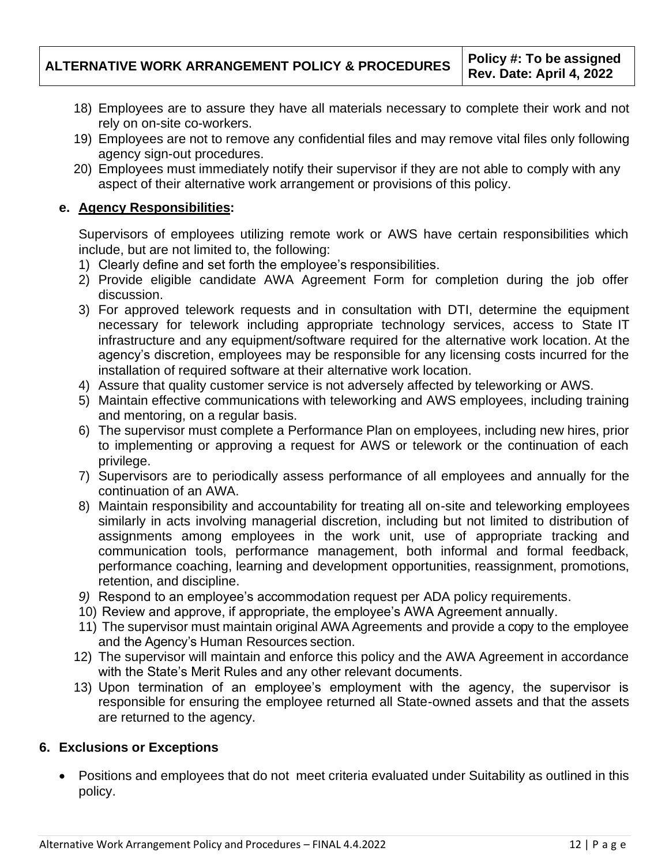- 18) Employees are to assure they have all materials necessary to complete their work and not rely on on-site co-workers.
- 19) Employees are not to remove any confidential files and may remove vital files only following agency sign-out procedures.
- 20) Employees must immediately notify their supervisor if they are not able to comply with any aspect of their alternative work arrangement or provisions of this policy.

# **e. Agency Responsibilities:**

Supervisors of employees utilizing remote work or AWS have certain responsibilities which include, but are not limited to, the following:

- 1) Clearly define and set forth the employee's responsibilities.
- 2) Provide eligible candidate AWA Agreement Form for completion during the job offer discussion.
- 3) For approved telework requests and in consultation with DTI, determine the equipment necessary for telework including appropriate technology services, access to State IT infrastructure and any equipment/software required for the alternative work location. At the agency's discretion, employees may be responsible for any licensing costs incurred for the installation of required software at their alternative work location.
- 4) Assure that quality customer service is not adversely affected by teleworking or AWS.
- 5) Maintain effective communications with teleworking and AWS employees, including training and mentoring, on a regular basis.
- 6) The supervisor must complete a Performance Plan on employees, including new hires, prior to implementing or approving a request for AWS or telework or the continuation of each privilege.
- 7) Supervisors are to periodically assess performance of all employees and annually for the continuation of an AWA.
- 8) Maintain responsibility and accountability for treating all on-site and teleworking employees similarly in acts involving managerial discretion, including but not limited to distribution of assignments among employees in the work unit, use of appropriate tracking and communication tools, performance management, both informal and formal feedback, performance coaching, learning and development opportunities, reassignment, promotions, retention, and discipline.
- *9)* Respond to an employee's accommodation request per ADA policy requirements.
- 10) Review and approve, if appropriate, the employee's AWA Agreement annually.
- and the Agency's Human Resources section. 11) The supervisor must maintain original AWA Agreements and provide a copy to the employee
- 12) The supervisor will maintain and enforce this policy and the AWA Agreement in accordance with the State's Merit Rules and any other relevant documents.
- 13) Upon termination of an employee's employment with the agency, the supervisor is responsible for ensuring the employee returned all State-owned assets and that the assets are returned to the agency.

# **6. Exclusions or Exceptions**

• Positions and employees that do not meet criteria evaluated under Suitability as outlined in this policy.